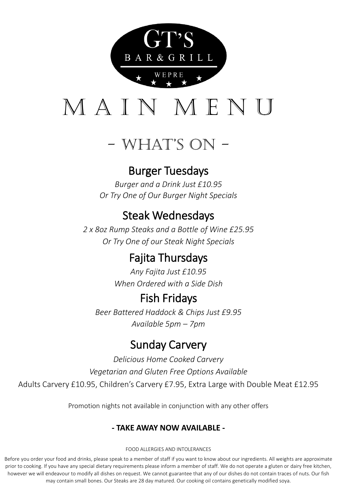

# MAIN MEN

# - What's On -

### Burger Tuesdays

*Burger and a Drink Just £10.95 Or Try One of Our Burger Night Specials*

# Steak Wednesdays

*2 x 8oz Rump Steaks and a Bottle of Wine £25.95 Or Try One of our Steak Night Specials*

# Fajita Thursdays

*Any Fajita Just £10.95 When Ordered with a Side Dish*

### Fish Fridays

*Beer Battered Haddock & Chips Just £9.95 Available 5pm – 7pm* 

# Sunday Carvery

*Delicious Home Cooked Carvery Vegetarian and Gluten Free Options Available* Adults Carvery £10.95, Children's Carvery £7.95, Extra Large with Double Meat £12.95

Promotion nights not available in conjunction with any other offers

### **- TAKE AWAY NOW AVAILABLE -**

#### FOOD ALLERGIES AND INTOLERANCES

Before you order your food and drinks, please speak to a member of staff if you want to know about our ingredients. All weights are approximate prior to cooking. If you have any special dietary requirements please inform a member of staff. We do not operate a gluten or dairy free kitchen, however we will endeavour to modify all dishes on request. We cannot guarantee that any of our dishes do not contain traces of nuts. Our fish may contain small bones. Our Steaks are 28 day matured. Our cooking oil contains genetically modified soya.